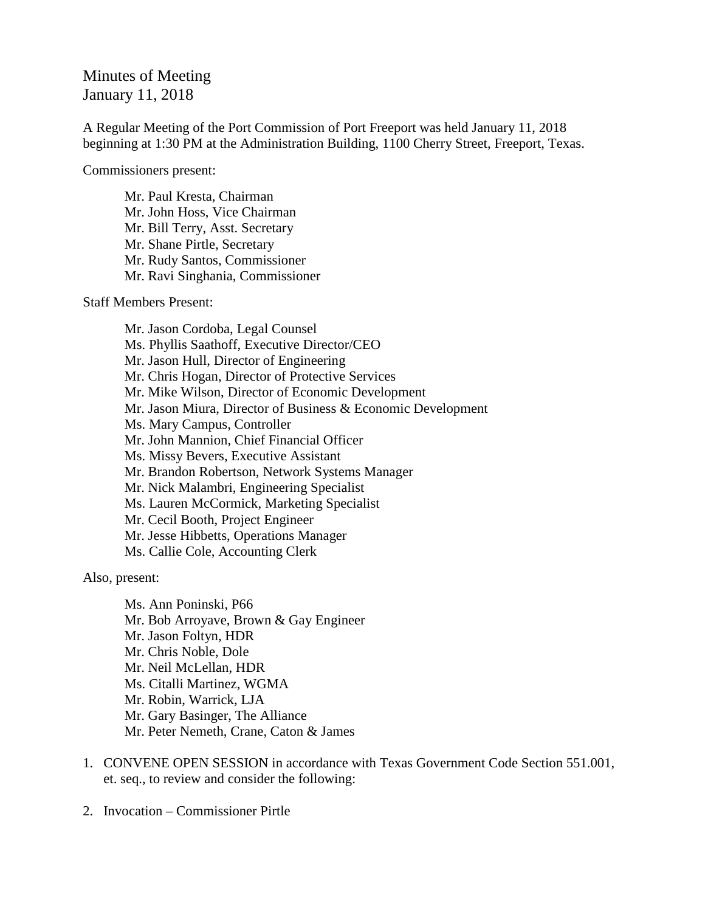## Minutes of Meeting January 11, 2018

A Regular Meeting of the Port Commission of Port Freeport was held January 11, 2018 beginning at 1:30 PM at the Administration Building, 1100 Cherry Street, Freeport, Texas.

Commissioners present:

Mr. Paul Kresta, Chairman Mr. John Hoss, Vice Chairman Mr. Bill Terry, Asst. Secretary Mr. Shane Pirtle, Secretary Mr. Rudy Santos, Commissioner Mr. Ravi Singhania, Commissioner

Staff Members Present:

Mr. Jason Cordoba, Legal Counsel Ms. Phyllis Saathoff, Executive Director/CEO Mr. Jason Hull, Director of Engineering Mr. Chris Hogan, Director of Protective Services Mr. Mike Wilson, Director of Economic Development Mr. Jason Miura, Director of Business & Economic Development Ms. Mary Campus, Controller Mr. John Mannion, Chief Financial Officer Ms. Missy Bevers, Executive Assistant Mr. Brandon Robertson, Network Systems Manager Mr. Nick Malambri, Engineering Specialist Ms. Lauren McCormick, Marketing Specialist Mr. Cecil Booth, Project Engineer Mr. Jesse Hibbetts, Operations Manager Ms. Callie Cole, Accounting Clerk

Also, present:

Ms. Ann Poninski, P66 Mr. Bob Arroyave, Brown & Gay Engineer Mr. Jason Foltyn, HDR Mr. Chris Noble, Dole Mr. Neil McLellan, HDR Ms. Citalli Martinez, WGMA Mr. Robin, Warrick, LJA Mr. Gary Basinger, The Alliance Mr. Peter Nemeth, Crane, Caton & James

- 1. CONVENE OPEN SESSION in accordance with Texas Government Code Section 551.001, et. seq., to review and consider the following:
- 2. Invocation Commissioner Pirtle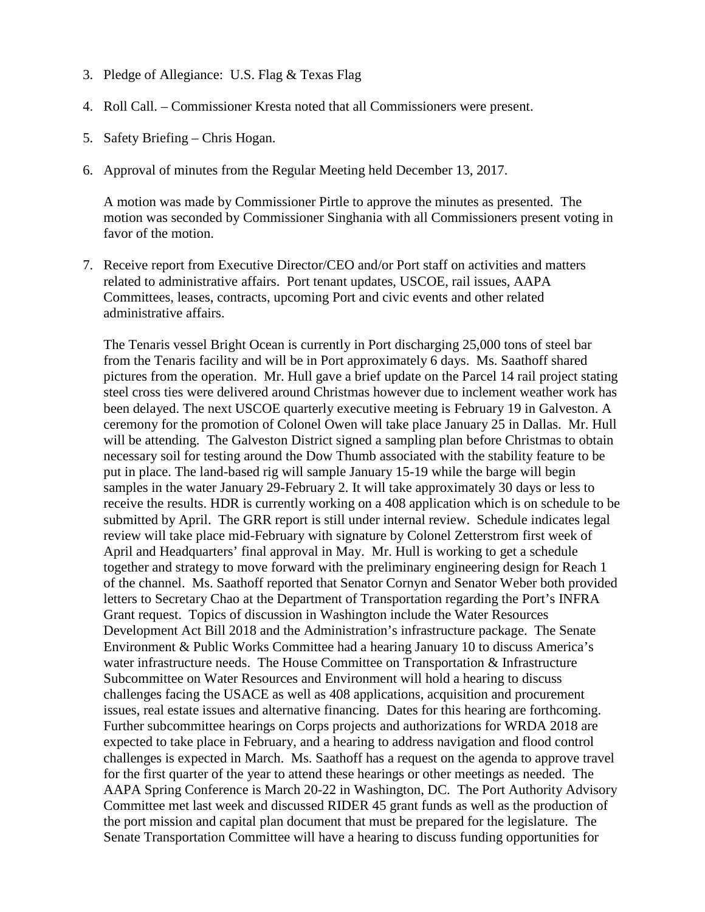- 3. Pledge of Allegiance: U.S. Flag & Texas Flag
- 4. Roll Call. Commissioner Kresta noted that all Commissioners were present.
- 5. Safety Briefing Chris Hogan.
- 6. Approval of minutes from the Regular Meeting held December 13, 2017.

A motion was made by Commissioner Pirtle to approve the minutes as presented. The motion was seconded by Commissioner Singhania with all Commissioners present voting in favor of the motion.

7. Receive report from Executive Director/CEO and/or Port staff on activities and matters related to administrative affairs. Port tenant updates, USCOE, rail issues, AAPA Committees, leases, contracts, upcoming Port and civic events and other related administrative affairs.

The Tenaris vessel Bright Ocean is currently in Port discharging 25,000 tons of steel bar from the Tenaris facility and will be in Port approximately 6 days. Ms. Saathoff shared pictures from the operation. Mr. Hull gave a brief update on the Parcel 14 rail project stating steel cross ties were delivered around Christmas however due to inclement weather work has been delayed. The next USCOE quarterly executive meeting is February 19 in Galveston. A ceremony for the promotion of Colonel Owen will take place January 25 in Dallas. Mr. Hull will be attending. The Galveston District signed a sampling plan before Christmas to obtain necessary soil for testing around the Dow Thumb associated with the stability feature to be put in place. The land-based rig will sample January 15-19 while the barge will begin samples in the water January 29-February 2. It will take approximately 30 days or less to receive the results. HDR is currently working on a 408 application which is on schedule to be submitted by April. The GRR report is still under internal review. Schedule indicates legal review will take place mid-February with signature by Colonel Zetterstrom first week of April and Headquarters' final approval in May. Mr. Hull is working to get a schedule together and strategy to move forward with the preliminary engineering design for Reach 1 of the channel. Ms. Saathoff reported that Senator Cornyn and Senator Weber both provided letters to Secretary Chao at the Department of Transportation regarding the Port's INFRA Grant request. Topics of discussion in Washington include the Water Resources Development Act Bill 2018 and the Administration's infrastructure package. The Senate Environment & Public Works Committee had a hearing January 10 to discuss America's water infrastructure needs. The House Committee on Transportation & Infrastructure Subcommittee on Water Resources and Environment will hold a hearing to discuss challenges facing the USACE as well as 408 applications, acquisition and procurement issues, real estate issues and alternative financing. Dates for this hearing are forthcoming. Further subcommittee hearings on Corps projects and authorizations for WRDA 2018 are expected to take place in February, and a hearing to address navigation and flood control challenges is expected in March. Ms. Saathoff has a request on the agenda to approve travel for the first quarter of the year to attend these hearings or other meetings as needed. The AAPA Spring Conference is March 20-22 in Washington, DC. The Port Authority Advisory Committee met last week and discussed RIDER 45 grant funds as well as the production of the port mission and capital plan document that must be prepared for the legislature. The Senate Transportation Committee will have a hearing to discuss funding opportunities for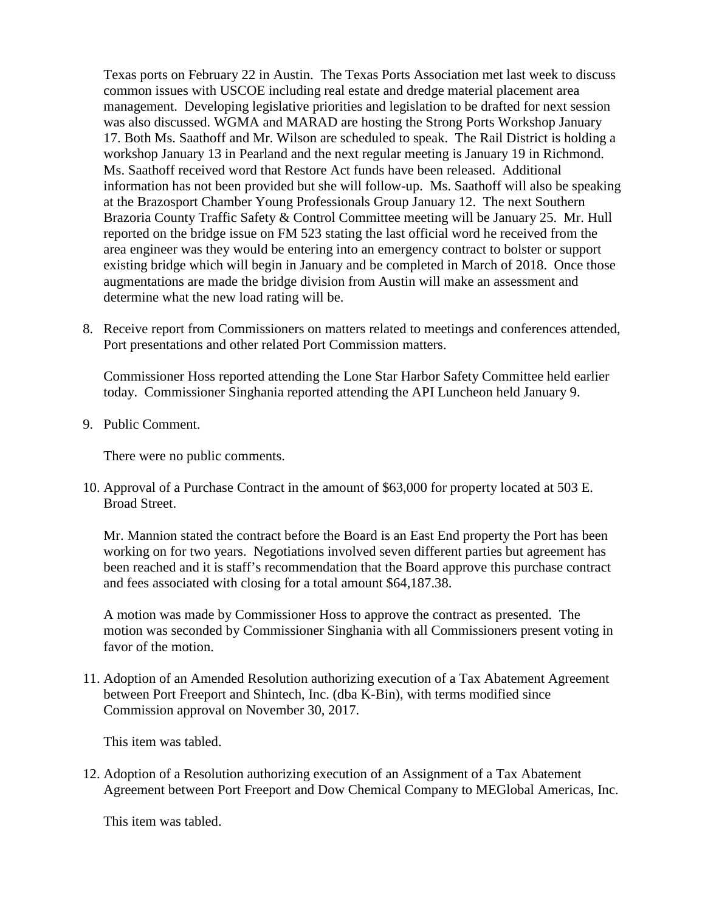Texas ports on February 22 in Austin. The Texas Ports Association met last week to discuss common issues with USCOE including real estate and dredge material placement area management. Developing legislative priorities and legislation to be drafted for next session was also discussed. WGMA and MARAD are hosting the Strong Ports Workshop January 17. Both Ms. Saathoff and Mr. Wilson are scheduled to speak. The Rail District is holding a workshop January 13 in Pearland and the next regular meeting is January 19 in Richmond. Ms. Saathoff received word that Restore Act funds have been released. Additional information has not been provided but she will follow-up. Ms. Saathoff will also be speaking at the Brazosport Chamber Young Professionals Group January 12. The next Southern Brazoria County Traffic Safety & Control Committee meeting will be January 25. Mr. Hull reported on the bridge issue on FM 523 stating the last official word he received from the area engineer was they would be entering into an emergency contract to bolster or support existing bridge which will begin in January and be completed in March of 2018. Once those augmentations are made the bridge division from Austin will make an assessment and determine what the new load rating will be.

8. Receive report from Commissioners on matters related to meetings and conferences attended, Port presentations and other related Port Commission matters.

Commissioner Hoss reported attending the Lone Star Harbor Safety Committee held earlier today. Commissioner Singhania reported attending the API Luncheon held January 9.

9. Public Comment.

There were no public comments.

10. Approval of a Purchase Contract in the amount of \$63,000 for property located at 503 E. Broad Street.

Mr. Mannion stated the contract before the Board is an East End property the Port has been working on for two years. Negotiations involved seven different parties but agreement has been reached and it is staff's recommendation that the Board approve this purchase contract and fees associated with closing for a total amount \$64,187.38.

A motion was made by Commissioner Hoss to approve the contract as presented. The motion was seconded by Commissioner Singhania with all Commissioners present voting in favor of the motion.

11. Adoption of an Amended Resolution authorizing execution of a Tax Abatement Agreement between Port Freeport and Shintech, Inc. (dba K-Bin), with terms modified since Commission approval on November 30, 2017.

This item was tabled.

12. Adoption of a Resolution authorizing execution of an Assignment of a Tax Abatement Agreement between Port Freeport and Dow Chemical Company to MEGlobal Americas, Inc.

This item was tabled.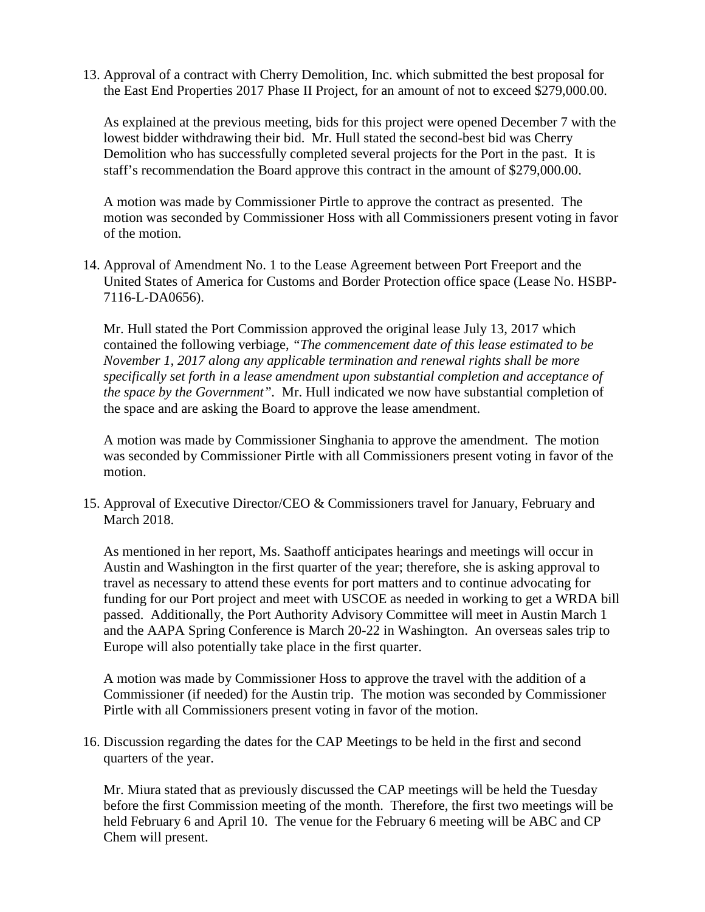13. Approval of a contract with Cherry Demolition, Inc. which submitted the best proposal for the East End Properties 2017 Phase II Project, for an amount of not to exceed \$279,000.00.

As explained at the previous meeting, bids for this project were opened December 7 with the lowest bidder withdrawing their bid. Mr. Hull stated the second-best bid was Cherry Demolition who has successfully completed several projects for the Port in the past. It is staff's recommendation the Board approve this contract in the amount of \$279,000.00.

A motion was made by Commissioner Pirtle to approve the contract as presented. The motion was seconded by Commissioner Hoss with all Commissioners present voting in favor of the motion.

14. Approval of Amendment No. 1 to the Lease Agreement between Port Freeport and the United States of America for Customs and Border Protection office space (Lease No. HSBP-7116-L-DA0656).

Mr. Hull stated the Port Commission approved the original lease July 13, 2017 which contained the following verbiage, *"The commencement date of this lease estimated to be November 1, 2017 along any applicable termination and renewal rights shall be more specifically set forth in a lease amendment upon substantial completion and acceptance of the space by the Government".* Mr. Hull indicated we now have substantial completion of the space and are asking the Board to approve the lease amendment.

A motion was made by Commissioner Singhania to approve the amendment. The motion was seconded by Commissioner Pirtle with all Commissioners present voting in favor of the motion.

15. Approval of Executive Director/CEO & Commissioners travel for January, February and March 2018.

As mentioned in her report, Ms. Saathoff anticipates hearings and meetings will occur in Austin and Washington in the first quarter of the year; therefore, she is asking approval to travel as necessary to attend these events for port matters and to continue advocating for funding for our Port project and meet with USCOE as needed in working to get a WRDA bill passed. Additionally, the Port Authority Advisory Committee will meet in Austin March 1 and the AAPA Spring Conference is March 20-22 in Washington. An overseas sales trip to Europe will also potentially take place in the first quarter.

A motion was made by Commissioner Hoss to approve the travel with the addition of a Commissioner (if needed) for the Austin trip. The motion was seconded by Commissioner Pirtle with all Commissioners present voting in favor of the motion.

16. Discussion regarding the dates for the CAP Meetings to be held in the first and second quarters of the year.

Mr. Miura stated that as previously discussed the CAP meetings will be held the Tuesday before the first Commission meeting of the month. Therefore, the first two meetings will be held February 6 and April 10. The venue for the February 6 meeting will be ABC and CP Chem will present.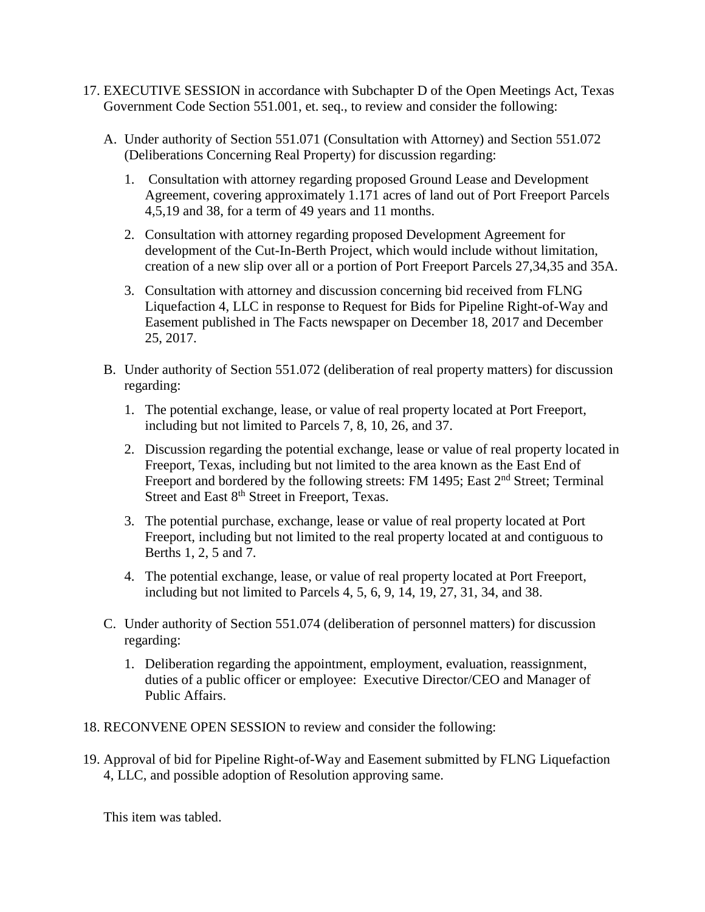- 17. EXECUTIVE SESSION in accordance with Subchapter D of the Open Meetings Act, Texas Government Code Section 551.001, et. seq., to review and consider the following:
	- A. Under authority of Section 551.071 (Consultation with Attorney) and Section 551.072 (Deliberations Concerning Real Property) for discussion regarding:
		- 1. Consultation with attorney regarding proposed Ground Lease and Development Agreement, covering approximately 1.171 acres of land out of Port Freeport Parcels 4,5,19 and 38, for a term of 49 years and 11 months.
		- 2. Consultation with attorney regarding proposed Development Agreement for development of the Cut-In-Berth Project, which would include without limitation, creation of a new slip over all or a portion of Port Freeport Parcels 27,34,35 and 35A.
		- 3. Consultation with attorney and discussion concerning bid received from FLNG Liquefaction 4, LLC in response to Request for Bids for Pipeline Right-of-Way and Easement published in The Facts newspaper on December 18, 2017 and December 25, 2017.
	- B. Under authority of Section 551.072 (deliberation of real property matters) for discussion regarding:
		- 1. The potential exchange, lease, or value of real property located at Port Freeport, including but not limited to Parcels 7, 8, 10, 26, and 37.
		- 2. Discussion regarding the potential exchange, lease or value of real property located in Freeport, Texas, including but not limited to the area known as the East End of Freeport and bordered by the following streets: FM 1495; East 2<sup>nd</sup> Street; Terminal Street and East 8<sup>th</sup> Street in Freeport, Texas.
		- 3. The potential purchase, exchange, lease or value of real property located at Port Freeport, including but not limited to the real property located at and contiguous to Berths 1, 2, 5 and 7.
		- 4. The potential exchange, lease, or value of real property located at Port Freeport, including but not limited to Parcels 4, 5, 6, 9, 14, 19, 27, 31, 34, and 38.
	- C. Under authority of Section 551.074 (deliberation of personnel matters) for discussion regarding:
		- 1. Deliberation regarding the appointment, employment, evaluation, reassignment, duties of a public officer or employee: Executive Director/CEO and Manager of Public Affairs.
- 18. RECONVENE OPEN SESSION to review and consider the following:
- 19. Approval of bid for Pipeline Right-of-Way and Easement submitted by FLNG Liquefaction 4, LLC, and possible adoption of Resolution approving same.

This item was tabled.